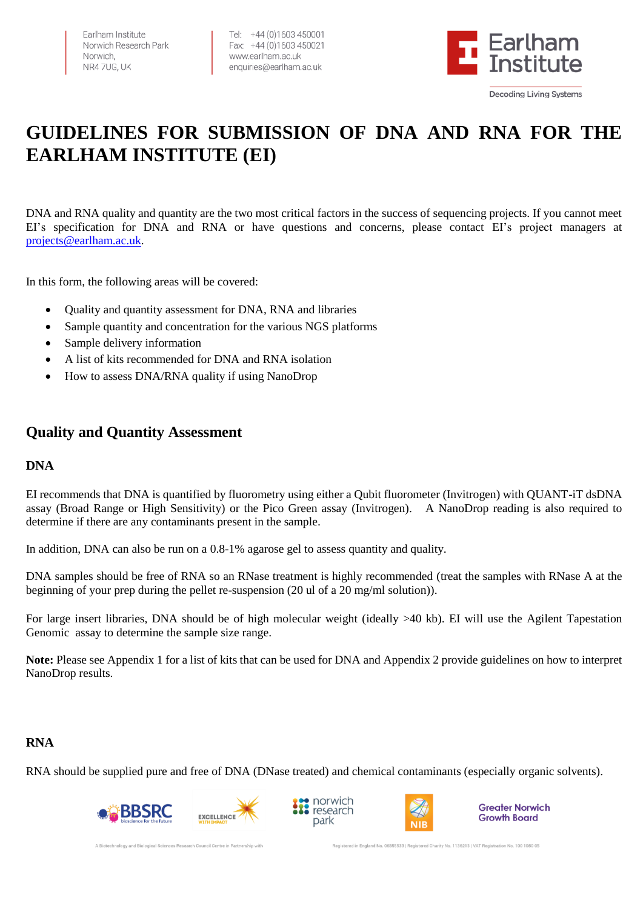Farlham Institute Norwich Research Park Norwich. NR47UG, UK

Tel: +44 (0)1603 450001 Fax: +44 (0)1603 450021 www.earlham.ac.uk enquiries@earlham.ac.uk



# **GUIDELINES FOR SUBMISSION OF DNA AND RNA FOR THE EARLHAM INSTITUTE (EI)**

DNA and RNA quality and quantity are the two most critical factors in the success of sequencing projects. If you cannot meet EI's specification for DNA and RNA or have questions and concerns, please contact EI's project managers at [projects@earlham.ac.uk.](mailto:projects@earlham.ac.uk)

In this form, the following areas will be covered:

- Quality and quantity assessment for DNA, RNA and libraries
- Sample quantity and concentration for the various NGS platforms
- Sample delivery information
- A list of kits recommended for DNA and RNA isolation
- How to assess DNA/RNA quality if using NanoDrop

### **Quality and Quantity Assessment**

### **DNA**

EI recommends that DNA is quantified by fluorometry using either a Qubit fluorometer (Invitrogen) with QUANT-iT dsDNA assay (Broad Range or High Sensitivity) or the Pico Green assay (Invitrogen). A NanoDrop reading is also required to determine if there are any contaminants present in the sample.

In addition, DNA can also be run on a 0.8-1% agarose gel to assess quantity and quality.

DNA samples should be free of RNA so an RNase treatment is highly recommended (treat the samples with RNase A at the beginning of your prep during the pellet re-suspension (20 ul of a 20 mg/ml solution)).

For large insert libraries, DNA should be of high molecular weight (ideally >40 kb). EI will use the Agilent Tapestation Genomic assay to determine the sample size range.

**Note:** Please see Appendix 1 for a list of kits that can be used for DNA and Appendix 2 provide guidelines on how to interpret NanoDrop results.

### **RNA**

RNA should be supplied pure and free of DNA (DNase treated) and chemical contaminants (especially organic solvents).









**Greater Norwich Growth Board**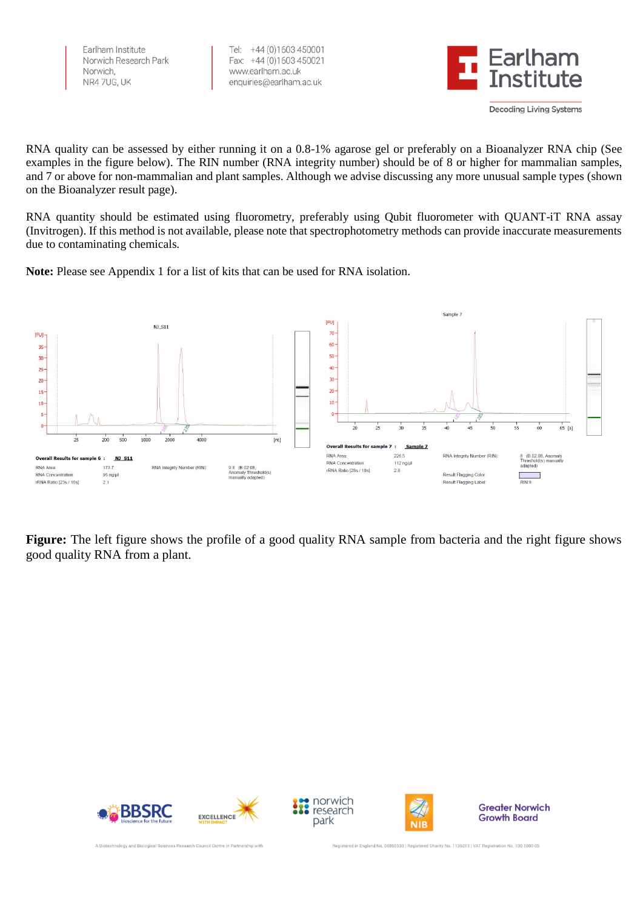Earlham Institute Norwich Research Park Norwich NR4 7UG, UK

Tel: +44 (0)1603 450001 Fax: +44 (0)1603 450021 www.earlham.ac.uk enquiries@earlham.ac.uk



RNA quality can be assessed by either running it on a 0.8-1% agarose gel or preferably on a Bioanalyzer RNA chip (See examples in the figure below). The RIN number (RNA integrity number) should be of 8 or higher for mammalian samples, and 7 or above for non-mammalian and plant samples. Although we advise discussing any more unusual sample types (shown on the Bioanalyzer result page).

RNA quantity should be estimated using fluorometry, preferably using Qubit fluorometer with QUANT-iT RNA assay (Invitrogen). If this method is not available, please note that spectrophotometry methods can provide inaccurate measurements due to contaminating chemicals.



**Note:** Please see Appendix 1 for a list of kits that can be used for RNA isolation.

**Figure:** The left figure shows the profile of a good quality RNA sample from bacteria and the right figure shows good quality RNA from a plant.







**Greater Norwich Growth Board** 

A Biotechnology and Biological Sciences Research Council Centre in Partnership wit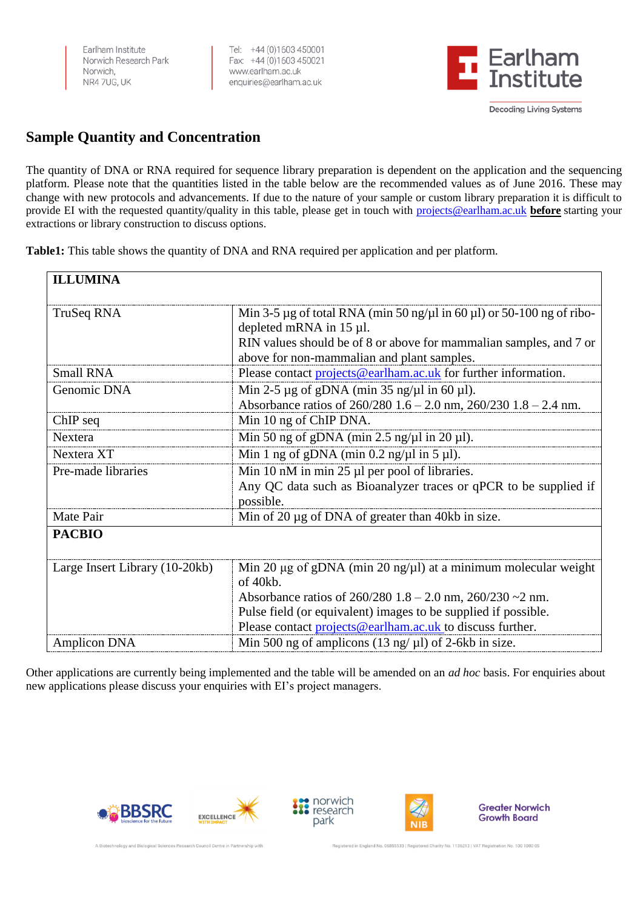Farlham Institute Norwich Research Park Norwich, NR4 7UG, UK

Tel: +44 (0)1603 450001 Fax: +44 (0)1603 450021 www.earlham.ac.uk enquiries@earlham.ac.uk



**Decoding Living Systems** 

## **Sample Quantity and Concentration**

The quantity of DNA or RNA required for sequence library preparation is dependent on the application and the sequencing platform. Please note that the quantities listed in the table below are the recommended values as of June 2016. These may change with new protocols and advancements. If due to the nature of your sample or custom library preparation it is difficult to provide EI with the requested quantity/quality in this table, please get in touch with [projects@earlham.ac.uk](mailto:projects@earlham.ac.uk) **before** starting your extractions or library construction to discuss options.

**Table1:** This table shows the quantity of DNA and RNA required per application and per platform.

| <b>ILLUMINA</b>                |                                                                                       |
|--------------------------------|---------------------------------------------------------------------------------------|
| TruSeq RNA                     | Min 3-5 $\mu$ g of total RNA (min 50 ng/ $\mu$ l in 60 $\mu$ l) or 50-100 ng of ribo- |
|                                | depleted mRNA in 15 µl.                                                               |
|                                | RIN values should be of 8 or above for mammalian samples, and 7 or                    |
|                                | above for non-mammalian and plant samples.                                            |
| <b>Small RNA</b>               | Please contact projects@earlham.ac.uk for further information.                        |
| Genomic DNA                    | Min 2-5 $\mu$ g of gDNA (min 35 ng/ $\mu$ l in 60 $\mu$ l).                           |
|                                | Absorbance ratios of $260/280$ 1.6 – 2.0 nm, $260/230$ 1.8 – 2.4 nm.                  |
| ChIP seq                       | Min 10 ng of ChIP DNA.                                                                |
| Nextera                        | Min 50 ng of gDNA (min 2.5 ng/ $\mu$ l in 20 $\mu$ l).                                |
| Nextera XT                     | Min 1 ng of gDNA (min $0.2$ ng/ $\mu$ l in 5 $\mu$ l).                                |
| Pre-made libraries             | Min 10 nM in min 25 µl per pool of libraries.                                         |
|                                | Any QC data such as Bioanalyzer traces or qPCR to be supplied if                      |
|                                | possible.                                                                             |
| Mate Pair                      | Min of 20 $\mu$ g of DNA of greater than 40kb in size.                                |
| <b>PACBIO</b>                  |                                                                                       |
| Large Insert Library (10-20kb) | Min 20 $\mu$ g of gDNA (min 20 ng/ $\mu$ l) at a minimum molecular weight             |
|                                | of 40kb.                                                                              |
|                                | Absorbance ratios of $260/280$ 1.8 – 2.0 nm, $260/230 \sim 2$ nm.                     |
|                                | Pulse field (or equivalent) images to be supplied if possible.                        |
|                                | Please contact projects@earlham.ac.uk to discuss further.                             |
| <b>Amplicon DNA</b>            | Min 500 ng of amplicons (13 ng/ $\mu$ l) of 2-6kb in size.                            |

Other applications are currently being implemented and the table will be amended on an *ad hoc* basis. For enquiries about new applications please discuss your enquiries with EI's project managers.









**Greater Norwich Growth Board**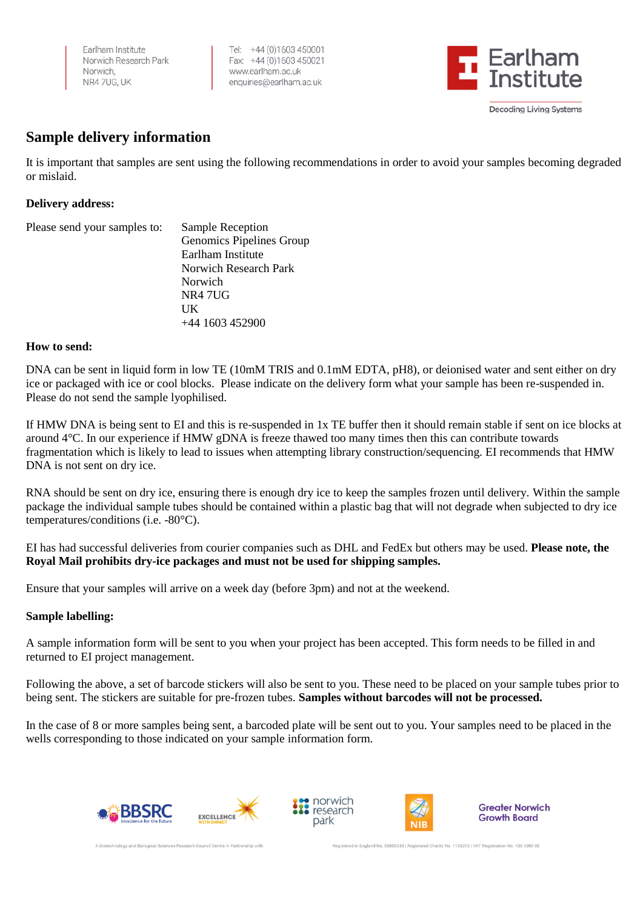Farlham Institute Norwich Research Park Norwich NR4 7UG, UK

Tel: +44 (0)1603 450001 Fax: +44 (0)1603 450021 www.earlham.ac.uk enquiries@earlham.ac.uk



### **Sample delivery information**

It is important that samples are sent using the following recommendations in order to avoid your samples becoming degraded or mislaid.

### **Delivery address:**

| Please send your samples to: | Sample Reception         |
|------------------------------|--------------------------|
|                              | Genomics Pipelines Group |
|                              | Earlham Institute        |
|                              | Norwich Research Park    |
|                              | Norwich                  |
|                              | NR4 7UG                  |
|                              | UK                       |
|                              | +44 1603 452900          |

### **How to send:**

DNA can be sent in liquid form in low TE (10mM TRIS and 0.1mM EDTA, pH8), or deionised water and sent either on dry ice or packaged with ice or cool blocks. Please indicate on the delivery form what your sample has been re-suspended in. Please do not send the sample lyophilised.

If HMW DNA is being sent to EI and this is re-suspended in 1x TE buffer then it should remain stable if sent on ice blocks at around 4°C. In our experience if HMW gDNA is freeze thawed too many times then this can contribute towards fragmentation which is likely to lead to issues when attempting library construction/sequencing. EI recommends that HMW DNA is not sent on dry ice.

RNA should be sent on dry ice, ensuring there is enough dry ice to keep the samples frozen until delivery. Within the sample package the individual sample tubes should be contained within a plastic bag that will not degrade when subjected to dry ice temperatures/conditions (i.e. -80°C).

EI has had successful deliveries from courier companies such as DHL and FedEx but others may be used. **Please note, the Royal Mail prohibits dry-ice packages and must not be used for shipping samples.**

Ensure that your samples will arrive on a week day (before 3pm) and not at the weekend.

### **Sample labelling:**

A sample information form will be sent to you when your project has been accepted. This form needs to be filled in and returned to EI project management.

Following the above, a set of barcode stickers will also be sent to you. These need to be placed on your sample tubes prior to being sent. The stickers are suitable for pre-frozen tubes. **Samples without barcodes will not be processed.**

In the case of 8 or more samples being sent, a barcoded plate will be sent out to you. Your samples need to be placed in the wells corresponding to those indicated on your sample information form.







**Greater Norwich Growth Board**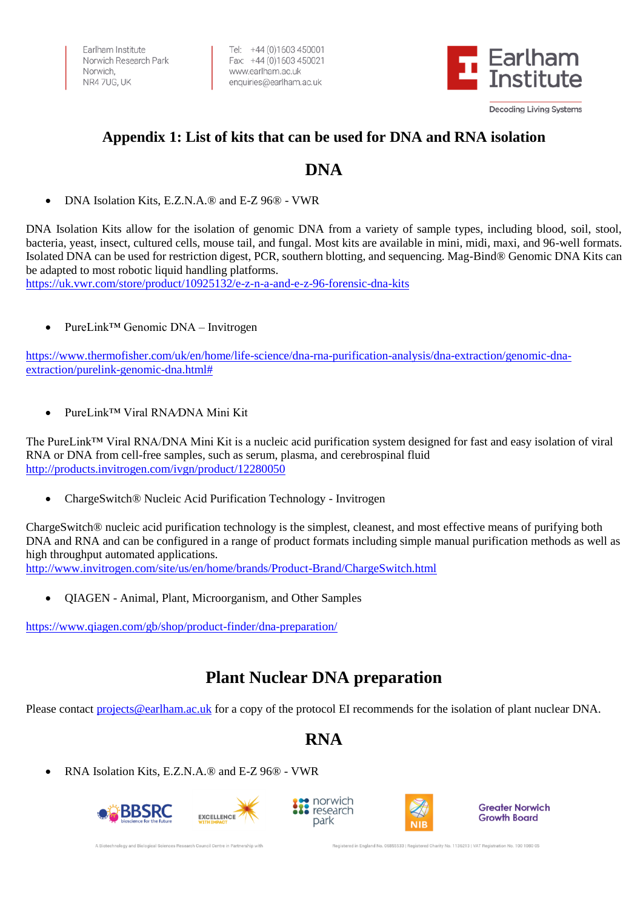Farlham Institute Norwich Research Park Norwich NR4 7UG, UK

Tel: +44 (0)1603 450001 Fax: +44 (0)1603 450021 www.earlham.ac.uk enquiries@earlham.ac.uk



### **Appendix 1: List of kits that can be used for DNA and RNA isolation**

# **DNA**

• DNA Isolation Kits, E.Z.N.A.® and E-Z 96® - VWR

DNA Isolation Kits allow for the isolation of genomic DNA from a variety of sample types, including blood, soil, stool, bacteria, yeast, insect, cultured cells, mouse tail, and fungal. Most kits are available in mini, midi, maxi, and 96-well formats. Isolated DNA can be used for restriction digest, PCR, southern blotting, and sequencing. Mag-Bind® Genomic DNA Kits can be adapted to most robotic liquid handling platforms.

<https://uk.vwr.com/store/product/10925132/e-z-n-a-and-e-z-96-forensic-dna-kits>

• PureLink™ Genomic DNA – Invitrogen

[https://www.thermofisher.com/uk/en/home/life-science/dna-rna-purification-analysis/dna-extraction/genomic-dna](https://www.thermofisher.com/uk/en/home/life-science/dna-rna-purification-analysis/dna-extraction/genomic-dna-extraction/purelink-genomic-dna.html)[extraction/purelink-genomic-dna.html#](https://www.thermofisher.com/uk/en/home/life-science/dna-rna-purification-analysis/dna-extraction/genomic-dna-extraction/purelink-genomic-dna.html)

• PureLink™ Viral RNA⁄DNA Mini Kit

The PureLink™ Viral RNA/DNA Mini Kit is a nucleic acid purification system designed for fast and easy isolation of viral RNA or DNA from cell-free samples, such as serum, plasma, and cerebrospinal fluid <http://products.invitrogen.com/ivgn/product/12280050>

• ChargeSwitch® Nucleic Acid Purification Technology - Invitrogen

ChargeSwitch® nucleic acid purification technology is the simplest, cleanest, and most effective means of purifying both DNA and RNA and can be configured in a range of product formats including simple manual purification methods as well as high throughput automated applications. <http://www.invitrogen.com/site/us/en/home/brands/Product-Brand/ChargeSwitch.html>

• QIAGEN - Animal, Plant, Microorganism, and Other Samples

<https://www.qiagen.com/gb/shop/product-finder/dna-preparation/>

# **Plant Nuclear DNA preparation**

Please contact [projects@earlham.ac.uk](mailto:projects@earlham.ac.uk) for a copy of the protocol EI recommends for the isolation of plant nuclear DNA.

# **RNA**

• RNA Isolation Kits, E.Z.N.A.<sup>®</sup> and E-Z 96<sup>®</sup> - VWR







**Greater Norwich Growth Board**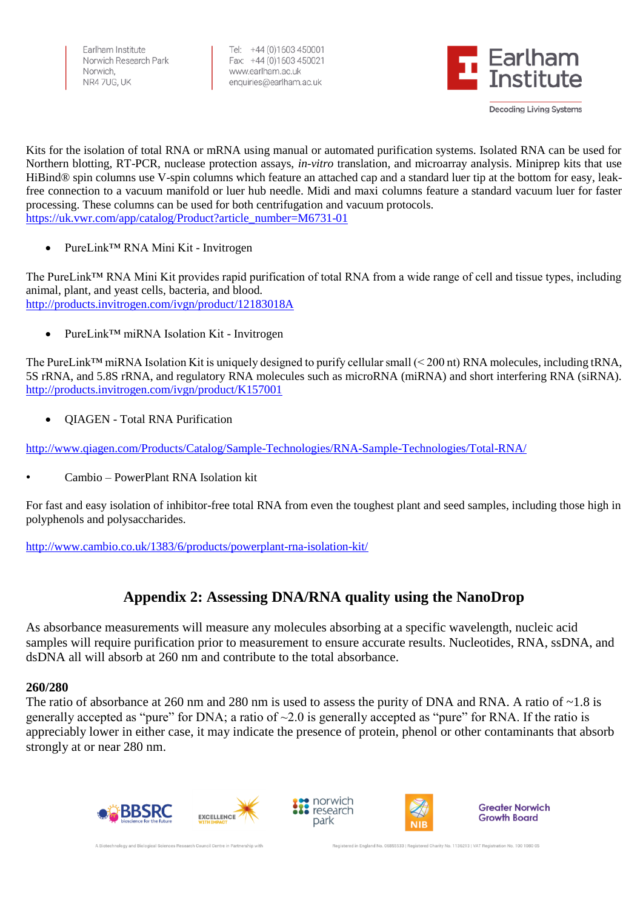Farlham Institute Norwich Research Park Norwich NR4 7UG, UK

Tel: +44 (0)1603 450001 Fax: +44 (0)1603 450021 www.earlham.ac.uk enquiries@earlham.ac.uk



Kits for the isolation of total RNA or mRNA using manual or automated purification systems. Isolated RNA can be used for Northern blotting, RT-PCR, nuclease protection assays, *in-vitro* translation, and microarray analysis. Miniprep kits that use HiBind® spin columns use V-spin columns which feature an attached cap and a standard luer tip at the bottom for easy, leakfree connection to a vacuum manifold or luer hub needle. Midi and maxi columns feature a standard vacuum luer for faster processing. These columns can be used for both centrifugation and vacuum protocols. [https://uk.vwr.com/app/catalog/Product?article\\_number=M6731-01](https://uk.vwr.com/app/catalog/Product?article_number=M6731-01)

• PureLink™ RNA Mini Kit - Invitrogen

The PureLink™ RNA Mini Kit provides rapid purification of total RNA from a wide range of cell and tissue types, including animal, plant, and yeast cells, bacteria, and blood. <http://products.invitrogen.com/ivgn/product/12183018A>

• PureLink™ miRNA Isolation Kit - Invitrogen

The PureLink<sup>™</sup> miRNA Isolation Kit is uniquely designed to purify cellular small (< 200 nt) RNA molecules, including tRNA, 5S rRNA, and 5.8S rRNA, and regulatory RNA molecules such as microRNA (miRNA) and short interfering RNA (siRNA). <http://products.invitrogen.com/ivgn/product/K157001>

• QIAGEN - Total RNA Purification

<http://www.qiagen.com/Products/Catalog/Sample-Technologies/RNA-Sample-Technologies/Total-RNA/>

• Cambio – PowerPlant RNA Isolation kit

For fast and easy isolation of inhibitor-free total RNA from even the toughest plant and seed samples, including those high in polyphenols and polysaccharides.

<http://www.cambio.co.uk/1383/6/products/powerplant-rna-isolation-kit/>

## **Appendix 2: Assessing DNA/RNA quality using the NanoDrop**

As absorbance measurements will measure any molecules absorbing at a specific wavelength, nucleic acid samples will require purification prior to measurement to ensure accurate results. Nucleotides, RNA, ssDNA, and dsDNA all will absorb at 260 nm and contribute to the total absorbance.

### **260/280**

The ratio of absorbance at 260 nm and 280 nm is used to assess the purity of DNA and RNA. A ratio of ~1.8 is generally accepted as "pure" for DNA; a ratio of  $\sim 2.0$  is generally accepted as "pure" for RNA. If the ratio is appreciably lower in either case, it may indicate the presence of protein, phenol or other contaminants that absorb strongly at or near 280 nm.







**Greater Norwich Growth Board**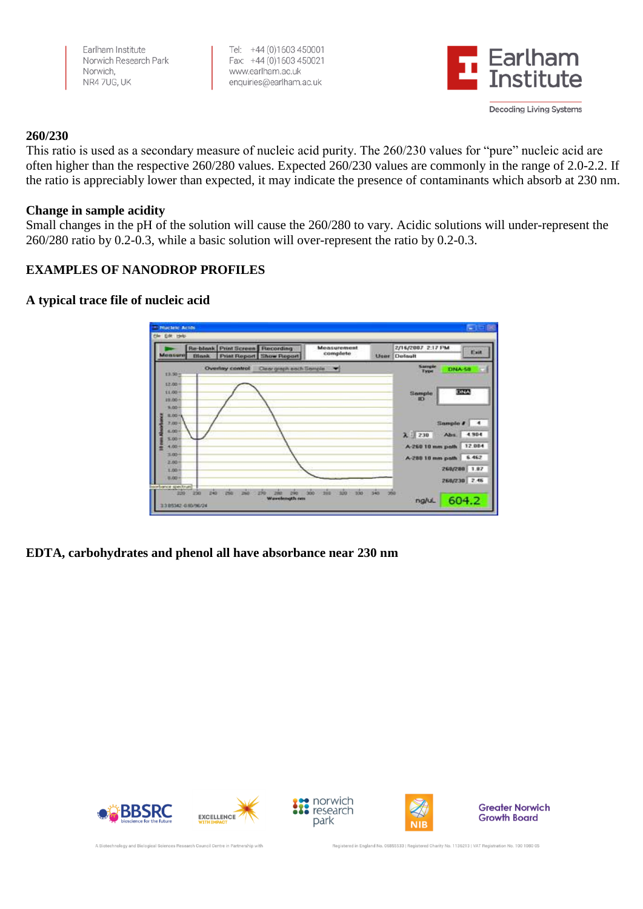Earlham Institute Norwich Research Park Norwich NR47UG, UK

Tel: +44 (0)1603 450001 Fax: +44 (0) 1603 450021 www.earlham.ac.uk enquiries@earlham.ac.uk



### **260/230**

This ratio is used as a secondary measure of nucleic acid purity. The 260/230 values for "pure" nucleic acid are often higher than the respective 260/280 values. Expected 260/230 values are commonly in the range of 2.0-2.2. If the ratio is appreciably lower than expected, it may indicate the presence of contaminants which absorb at 230 nm.

### **Change in sample acidity**

Small changes in the pH of the solution will cause the 260/280 to vary. Acidic solutions will under-represent the 260/280 ratio by 0.2-0.3, while a basic solution will over-represent the ratio by 0.2-0.3.

### **EXAMPLES OF NANODROP PROFILES**

### **A typical trace file of nucleic acid**



**EDTA, carbohydrates and phenol all have absorbance near 230 nm**







**Greater Norwich Growth Board**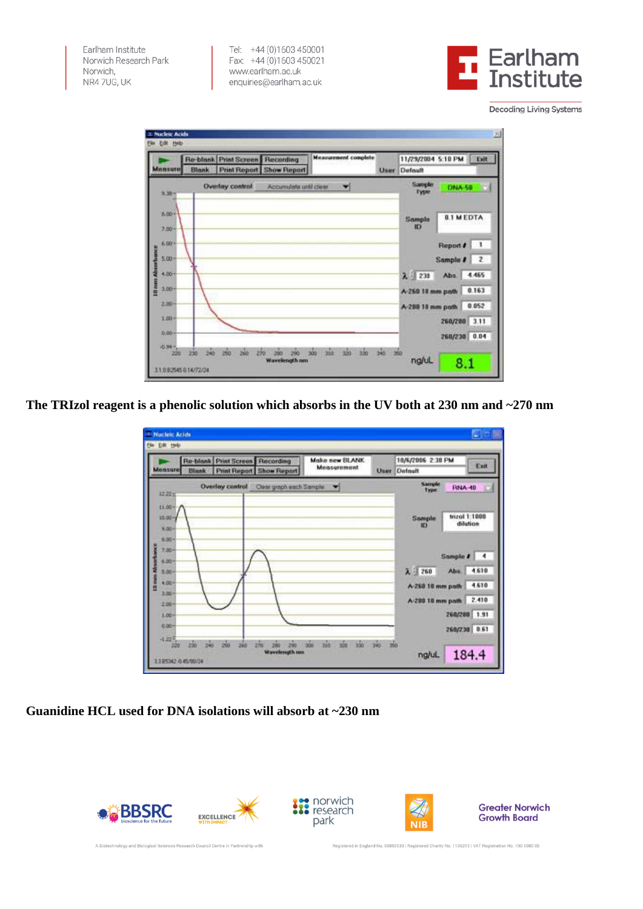Earlham Institute Norwich Research Park Norwich, NR47UG, UK

Tel: +44 (0)1603 450001<br>Fax: +44 (0)1603 450021 www.earlham.ac.uk enquiries@earlham.ac.uk



**Decoding Living Systems** 

| <b>Measure</b>                   | <b>Blank</b>                      | Re-blank Print Screen Recording | <b>Print Report Show Report</b> | <b>Measurement complete</b>        | <b>User</b>  | 11/29/2004 5:10 PM<br>Default     |                      | Exit                          |
|----------------------------------|-----------------------------------|---------------------------------|---------------------------------|------------------------------------|--------------|-----------------------------------|----------------------|-------------------------------|
| 9.38 -                           |                                   | Overlay control                 | Accumulate until clear          | ▼                                  |              | Sample<br>Type                    | <b>DNA-50</b>        |                               |
| $B.00 -$<br>$7.00 -$             |                                   |                                 |                                 |                                    |              | Sample<br>ID                      | <b>0.1 M EDTA</b>    |                               |
| 6.00<br>\$00                     |                                   |                                 |                                 |                                    |              |                                   | Report #<br>Sample # | $\mathbf{1}$<br>$\frac{2}{2}$ |
| 4.00<br>3.00                     |                                   |                                 |                                 |                                    |              | $\lambda$ 230<br>A-260 10 mm path | Abs.                 | 4.465<br>0.163                |
| <b>10 mm Ab</b><br>2,00-<br>1.00 |                                   |                                 |                                 |                                    |              | A-288 10 mm path                  |                      | 0.052                         |
| 0.00<br>VD.94 Y                  |                                   |                                 |                                 |                                    |              |                                   | 260/280<br>260/230   | 3.11<br>0.04                  |
| 220                              | bko.<br>230<br>110925450.14/72/24 | 250<br>550<br>260               | <b>Wavelength nm</b>            | ain<br>zšo<br>$rac{1}{200}$<br>300 | de<br>$-200$ | ng/uL                             | 8.1                  |                               |

**The TRIzol reagent is a phenolic solution which absorbs in the UV both at 230 nm and ~270 nm**

| Measure                                                                                                      | Re-blank<br><b>Blank</b> | Print Screen Recording<br><b>Print Report Show Report</b> | Make new BLANK<br><b>Measurement</b> | User | 10/6/2006 2:38 PM<br>Default                                                              | Exit                                                                                             |
|--------------------------------------------------------------------------------------------------------------|--------------------------|-----------------------------------------------------------|--------------------------------------|------|-------------------------------------------------------------------------------------------|--------------------------------------------------------------------------------------------------|
| 12.22 m<br>11.00-<br>$10.00 -$<br>9.00+<br>8,00+<br>7.00-<br>6.00<br>5.00-<br>4.00-<br>3.00<br>2.00<br>1,00- |                          | Overlay control Clear graph each Sample.                  |                                      |      | Sample<br>Type<br>Sample<br>$\lambda = 250$<br>A-260 10 mm path<br>A-280 18 mm path 2.410 | <b>RNA-40</b><br>trizol 1:1000<br>dilution<br>Sample #<br>4.610<br>Abs.<br>4.610<br>260/280 1.91 |
| 0.00-<br>$-1.22\%$<br>220<br>1205342-045/90/24                                                               | 骗<br>函<br>250            | 品<br>260<br>m<br><b>Wavelength nas</b>                    | 菡<br>išo<br>sóo<br>365               | 340  | ng/uL                                                                                     | 260/230 0.61<br>184.4                                                                            |

**Guanidine HCL used for DNA isolations will absorb at ~230 nm**

A Biotechnology and Biological Sciences Research Council Centre in Partnership with